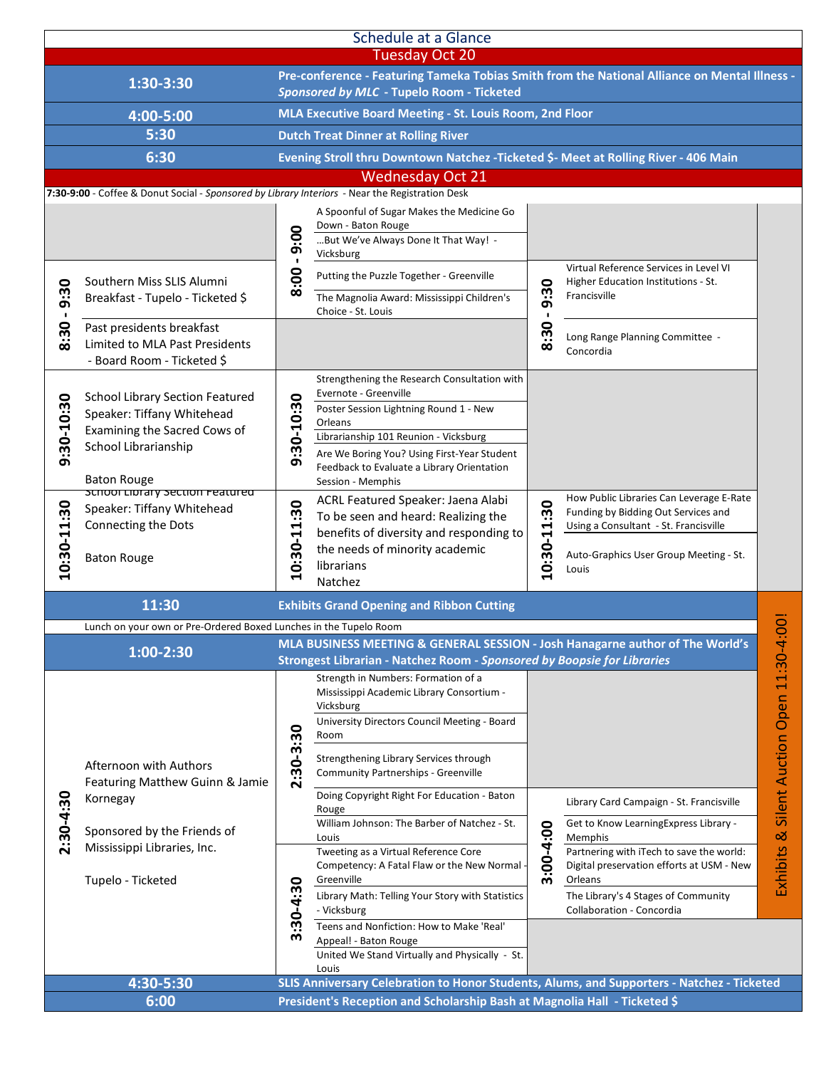| <b>Schedule at a Glance</b><br><b>Tuesday Oct 20</b>                                         |                                                                                                                                                    |                                                                                            |                                                                                                                                                                    |                  |                                                                                                                          |                                          |  |  |  |  |  |
|----------------------------------------------------------------------------------------------|----------------------------------------------------------------------------------------------------------------------------------------------------|--------------------------------------------------------------------------------------------|--------------------------------------------------------------------------------------------------------------------------------------------------------------------|------------------|--------------------------------------------------------------------------------------------------------------------------|------------------------------------------|--|--|--|--|--|
| 1:30-3:30                                                                                    |                                                                                                                                                    |                                                                                            | Pre-conference - Featuring Tameka Tobias Smith from the National Alliance on Mental Illness -<br>Sponsored by MLC - Tupelo Room - Ticketed                         |                  |                                                                                                                          |                                          |  |  |  |  |  |
| 4:00-5:00                                                                                    |                                                                                                                                                    | MLA Executive Board Meeting - St. Louis Room, 2nd Floor                                    |                                                                                                                                                                    |                  |                                                                                                                          |                                          |  |  |  |  |  |
| 5:30                                                                                         |                                                                                                                                                    | <b>Dutch Treat Dinner at Rolling River</b>                                                 |                                                                                                                                                                    |                  |                                                                                                                          |                                          |  |  |  |  |  |
| 6:30<br>Evening Stroll thru Downtown Natchez - Ticketed \$- Meet at Rolling River - 406 Main |                                                                                                                                                    |                                                                                            |                                                                                                                                                                    |                  |                                                                                                                          |                                          |  |  |  |  |  |
| <b>Wednesday Oct 21</b>                                                                      |                                                                                                                                                    |                                                                                            |                                                                                                                                                                    |                  |                                                                                                                          |                                          |  |  |  |  |  |
|                                                                                              | 7:30-9:00 - Coffee & Donut Social - Sponsored by Library Interiors - Near the Registration Desk                                                    |                                                                                            | A Spoonful of Sugar Makes the Medicine Go<br>Down - Baton Rouge                                                                                                    |                  |                                                                                                                          |                                          |  |  |  |  |  |
|                                                                                              |                                                                                                                                                    | 9:00                                                                                       | But We've Always Done It That Way! -<br>Vicksburg                                                                                                                  |                  |                                                                                                                          |                                          |  |  |  |  |  |
| 9:30                                                                                         | Southern Miss SLIS Alumni<br>Breakfast - Tupelo - Ticketed \$                                                                                      | 8:00                                                                                       | Putting the Puzzle Together - Greenville<br>The Magnolia Award: Mississippi Children's                                                                             | 0<br>9:3<br>8:30 | Virtual Reference Services in Level VI<br>Higher Education Institutions - St.<br>Francisville                            |                                          |  |  |  |  |  |
| $\blacksquare$<br>30<br>$\ddot{\bm{\in}}$                                                    | Past presidents breakfast<br>Limited to MLA Past Presidents<br>- Board Room - Ticketed \$                                                          |                                                                                            | Choice - St. Louis                                                                                                                                                 |                  | Long Range Planning Committee -<br>Concordia                                                                             |                                          |  |  |  |  |  |
| 9:30-10:30                                                                                   | <b>School Library Section Featured</b><br>Speaker: Tiffany Whitehead<br>Examining the Sacred Cows of<br>School Librarianship<br><b>Baton Rouge</b> | 9:30-10:30                                                                                 | Strengthening the Research Consultation with<br>Evernote - Greenville<br>Poster Session Lightning Round 1 - New                                                    |                  |                                                                                                                          |                                          |  |  |  |  |  |
|                                                                                              |                                                                                                                                                    |                                                                                            | Orleans<br>Librarianship 101 Reunion - Vicksburg<br>Are We Boring You? Using First-Year Student<br>Feedback to Evaluate a Library Orientation<br>Session - Memphis |                  |                                                                                                                          |                                          |  |  |  |  |  |
| 10:30-11:30                                                                                  | schoor Library section Featured<br>Speaker: Tiffany Whitehead<br>Connecting the Dots                                                               | 10:30-11:30                                                                                | ACRL Featured Speaker: Jaena Alabi<br>To be seen and heard: Realizing the<br>benefits of diversity and responding to<br>the needs of minority academic             | 10:30-11:30      | How Public Libraries Can Leverage E-Rate<br>Funding by Bidding Out Services and<br>Using a Consultant - St. Francisville |                                          |  |  |  |  |  |
|                                                                                              | <b>Baton Rouge</b>                                                                                                                                 |                                                                                            | librarians<br>Natchez                                                                                                                                              |                  | Auto-Graphics User Group Meeting - St.<br>Louis                                                                          |                                          |  |  |  |  |  |
|                                                                                              | 11:30<br><b>Exhibits Grand Opening and Ribbon Cutting</b>                                                                                          |                                                                                            |                                                                                                                                                                    |                  |                                                                                                                          |                                          |  |  |  |  |  |
|                                                                                              | Lunch on your own or Pre-Ordered Boxed Lunches in the Tupelo Room                                                                                  |                                                                                            |                                                                                                                                                                    |                  |                                                                                                                          | $\overline{\circ}$                       |  |  |  |  |  |
|                                                                                              | 1:00-2:30                                                                                                                                          |                                                                                            | MLA BUSINESS MEETING & GENERAL SESSION - Josh Hanagarne author of The World's<br>Strongest Librarian - Natchez Room - Sponsored by Boopsie for Libraries           |                  |                                                                                                                          |                                          |  |  |  |  |  |
| 2:30-4:30                                                                                    |                                                                                                                                                    |                                                                                            | Strength in Numbers: Formation of a<br>Mississippi Academic Library Consortium -<br>Vicksburg<br>University Directors Council Meeting - Board<br>Room              |                  |                                                                                                                          | Exhibits & Silent Auction Open 11:30-4:0 |  |  |  |  |  |
|                                                                                              | Afternoon with Authors<br>Featuring Matthew Guinn & Jamie<br>Kornegay                                                                              | 2:30-3:30                                                                                  | Strengthening Library Services through<br>Community Partnerships - Greenville                                                                                      |                  |                                                                                                                          |                                          |  |  |  |  |  |
|                                                                                              |                                                                                                                                                    |                                                                                            | Doing Copyright Right For Education - Baton<br>Rouge<br>William Johnson: The Barber of Natchez - St.                                                               |                  | Library Card Campaign - St. Francisville<br>Get to Know LearningExpress Library -                                        |                                          |  |  |  |  |  |
|                                                                                              | Sponsored by the Friends of<br>Mississippi Libraries, Inc.                                                                                         |                                                                                            | Louis                                                                                                                                                              | 3:00-4:00        | Memphis                                                                                                                  |                                          |  |  |  |  |  |
|                                                                                              | Tupelo - Ticketed                                                                                                                                  | 0<br>$3:30-4:3$                                                                            | Tweeting as a Virtual Reference Core<br>Competency: A Fatal Flaw or the New Normal<br>Greenville                                                                   |                  | Partnering with iTech to save the world:<br>Digital preservation efforts at USM - New<br>Orleans                         |                                          |  |  |  |  |  |
|                                                                                              |                                                                                                                                                    |                                                                                            | Library Math: Telling Your Story with Statistics<br>- Vicksburg                                                                                                    |                  | The Library's 4 Stages of Community<br>Collaboration - Concordia                                                         |                                          |  |  |  |  |  |
|                                                                                              |                                                                                                                                                    |                                                                                            | Teens and Nonfiction: How to Make 'Real'<br>Appeal! - Baton Rouge<br>United We Stand Virtually and Physically - St.<br>Louis                                       |                  |                                                                                                                          |                                          |  |  |  |  |  |
|                                                                                              | 4:30-5:30                                                                                                                                          | SLIS Anniversary Celebration to Honor Students, Alums, and Supporters - Natchez - Ticketed |                                                                                                                                                                    |                  |                                                                                                                          |                                          |  |  |  |  |  |
| 6:00<br>President's Reception and Scholarship Bash at Magnolia Hall - Ticketed \$            |                                                                                                                                                    |                                                                                            |                                                                                                                                                                    |                  |                                                                                                                          |                                          |  |  |  |  |  |